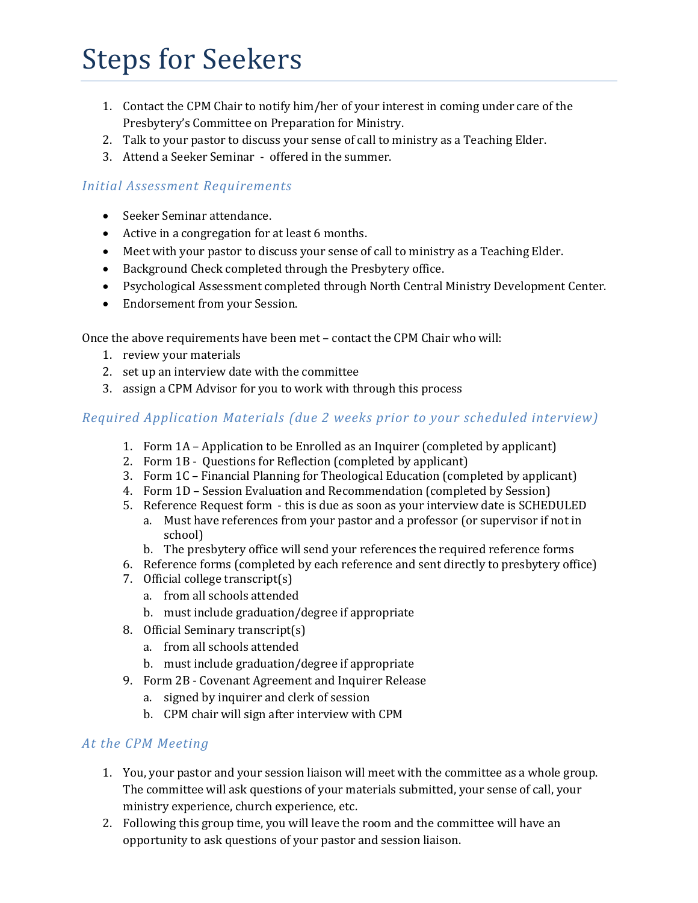# Steps for Seekers

- 1. Contact the CPM Chair to notify him/her of your interest in coming under care of the Presbytery's Committee on Preparation for Ministry.
- 2. Talk to your pastor to discuss your sense of call to ministry as a Teaching Elder.
- 3. Attend a Seeker Seminar offered in the summer.

#### *Initial Assessment Requirements*

- Seeker Seminar attendance.
- Active in a congregation for at least 6 months.
- Meet with your pastor to discuss your sense of call to ministry as a Teaching Elder.
- Background Check completed through the Presbytery office.
- Psychological Assessment completed through North Central Ministry Development Center.
- Endorsement from your Session.

Once the above requirements have been met – contact the CPM Chair who will:

- 1. review your materials
- 2. set up an interview date with the committee
- 3. assign a CPM Advisor for you to work with through this process

## *Required Application Materials (due 2 weeks prior to your scheduled interview)*

- 1. Form 1A Application to be Enrolled as an Inquirer (completed by applicant)
- 2. Form 1B Questions for Reflection (completed by applicant)
- 3. Form 1C Financial Planning for Theological Education (completed by applicant)
- 4. Form 1D Session Evaluation and Recommendation (completed by Session)
- 5. Reference Request form this is due as soon as your interview date is SCHEDULED a. Must have references from your pastor and a professor (or supervisor if not in school)
	- b. The presbytery office will send your references the required reference forms
- 6. Reference forms (completed by each reference and sent directly to presbytery office)
- 7. Official college transcript(s)
	- a. from all schools attended
	- b. must include graduation/degree if appropriate
- 8. Official Seminary transcript(s)
	- a. from all schools attended
	- b. must include graduation/degree if appropriate
- 9. Form 2B Covenant Agreement and Inquirer Release
	- a. signed by inquirer and clerk of session
	- b. CPM chair will sign after interview with CPM

#### *At the CPM Meeting*

- 1. You, your pastor and your session liaison will meet with the committee as a whole group. The committee will ask questions of your materials submitted, your sense of call, your ministry experience, church experience, etc.
- 2. Following this group time, you will leave the room and the committee will have an opportunity to ask questions of your pastor and session liaison.